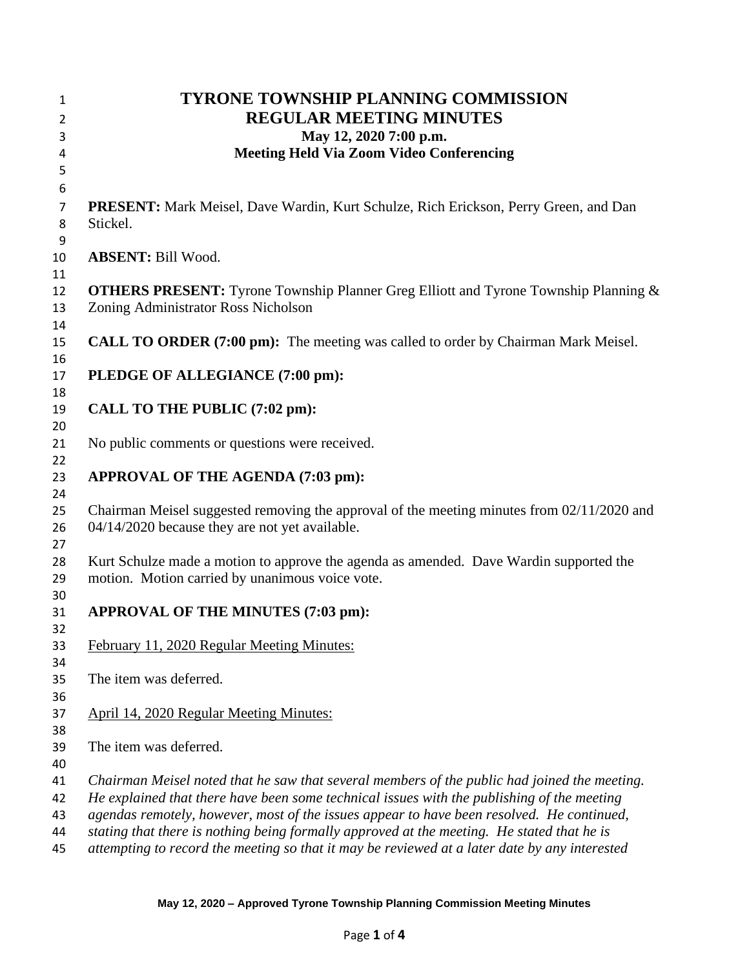| <b>TYRONE TOWNSHIP PLANNING COMMISSION</b>                                                                                                                                                  |
|---------------------------------------------------------------------------------------------------------------------------------------------------------------------------------------------|
| <b>REGULAR MEETING MINUTES</b>                                                                                                                                                              |
| May 12, 2020 7:00 p.m.                                                                                                                                                                      |
| <b>Meeting Held Via Zoom Video Conferencing</b>                                                                                                                                             |
|                                                                                                                                                                                             |
|                                                                                                                                                                                             |
| <b>PRESENT:</b> Mark Meisel, Dave Wardin, Kurt Schulze, Rich Erickson, Perry Green, and Dan<br>Stickel.                                                                                     |
| <b>ABSENT: Bill Wood.</b>                                                                                                                                                                   |
| <b>OTHERS PRESENT:</b> Tyrone Township Planner Greg Elliott and Tyrone Township Planning &<br>Zoning Administrator Ross Nicholson                                                           |
| <b>CALL TO ORDER (7:00 pm):</b> The meeting was called to order by Chairman Mark Meisel.                                                                                                    |
| PLEDGE OF ALLEGIANCE (7:00 pm):                                                                                                                                                             |
| CALL TO THE PUBLIC (7:02 pm):                                                                                                                                                               |
| No public comments or questions were received.                                                                                                                                              |
| APPROVAL OF THE AGENDA (7:03 pm):                                                                                                                                                           |
| Chairman Meisel suggested removing the approval of the meeting minutes from 02/11/2020 and<br>04/14/2020 because they are not yet available.                                                |
| Kurt Schulze made a motion to approve the agenda as amended. Dave Wardin supported the<br>motion. Motion carried by unanimous voice vote.                                                   |
| APPROVAL OF THE MINUTES (7:03 pm):                                                                                                                                                          |
| February 11, 2020 Regular Meeting Minutes:                                                                                                                                                  |
| The item was deferred.                                                                                                                                                                      |
| April 14, 2020 Regular Meeting Minutes:                                                                                                                                                     |
| The item was deferred.                                                                                                                                                                      |
| Chairman Meisel noted that he saw that several members of the public had joined the meeting.                                                                                                |
| He explained that there have been some technical issues with the publishing of the meeting                                                                                                  |
| agendas remotely, however, most of the issues appear to have been resolved. He continued,                                                                                                   |
| stating that there is nothing being formally approved at the meeting. He stated that he is<br>attempting to record the meeting so that it may be reviewed at a later date by any interested |
|                                                                                                                                                                                             |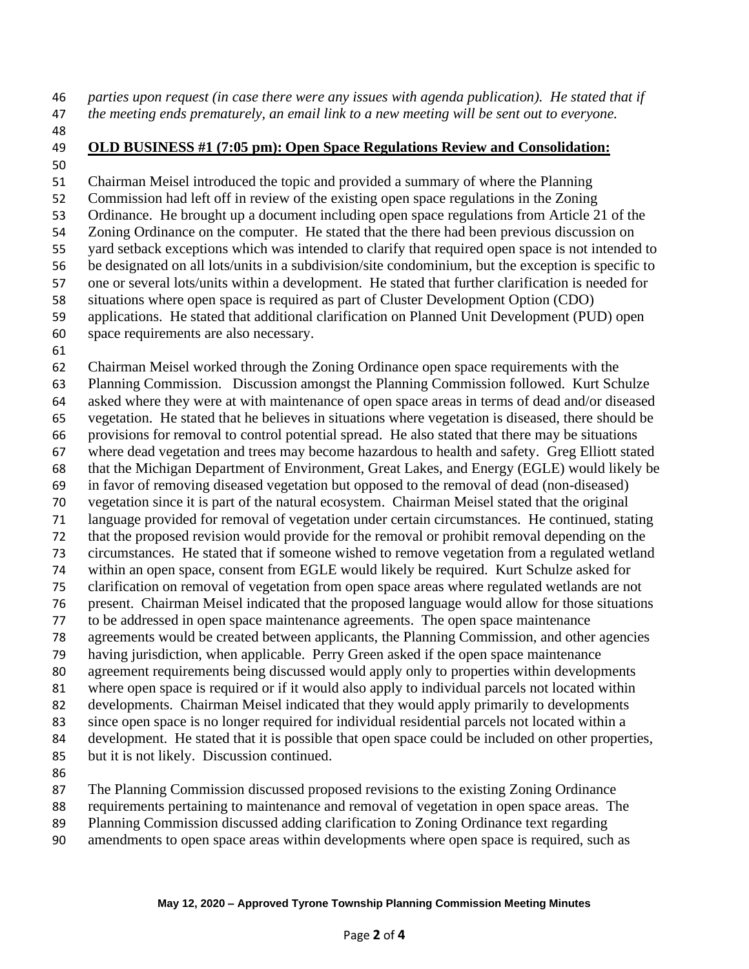*parties upon request (in case there were any issues with agenda publication). He stated that if the meeting ends prematurely, an email link to a new meeting will be sent out to everyone.* 

- 
- 

### **OLD BUSINESS #1 (7:05 pm): Open Space Regulations Review and Consolidation:**

 Chairman Meisel introduced the topic and provided a summary of where the Planning Commission had left off in review of the existing open space regulations in the Zoning Ordinance. He brought up a document including open space regulations from Article 21 of the Zoning Ordinance on the computer. He stated that the there had been previous discussion on yard setback exceptions which was intended to clarify that required open space is not intended to be designated on all lots/units in a subdivision/site condominium, but the exception is specific to one or several lots/units within a development. He stated that further clarification is needed for situations where open space is required as part of Cluster Development Option (CDO) applications. He stated that additional clarification on Planned Unit Development (PUD) open space requirements are also necessary.

 Chairman Meisel worked through the Zoning Ordinance open space requirements with the Planning Commission. Discussion amongst the Planning Commission followed. Kurt Schulze asked where they were at with maintenance of open space areas in terms of dead and/or diseased vegetation. He stated that he believes in situations where vegetation is diseased, there should be provisions for removal to control potential spread. He also stated that there may be situations where dead vegetation and trees may become hazardous to health and safety. Greg Elliott stated that the Michigan Department of Environment, Great Lakes, and Energy (EGLE) would likely be in favor of removing diseased vegetation but opposed to the removal of dead (non-diseased) vegetation since it is part of the natural ecosystem. Chairman Meisel stated that the original language provided for removal of vegetation under certain circumstances. He continued, stating that the proposed revision would provide for the removal or prohibit removal depending on the circumstances. He stated that if someone wished to remove vegetation from a regulated wetland within an open space, consent from EGLE would likely be required. Kurt Schulze asked for clarification on removal of vegetation from open space areas where regulated wetlands are not present. Chairman Meisel indicated that the proposed language would allow for those situations to be addressed in open space maintenance agreements. The open space maintenance agreements would be created between applicants, the Planning Commission, and other agencies having jurisdiction, when applicable. Perry Green asked if the open space maintenance agreement requirements being discussed would apply only to properties within developments where open space is required or if it would also apply to individual parcels not located within developments. Chairman Meisel indicated that they would apply primarily to developments since open space is no longer required for individual residential parcels not located within a development. He stated that it is possible that open space could be included on other properties, but it is not likely. Discussion continued. The Planning Commission discussed proposed revisions to the existing Zoning Ordinance

- requirements pertaining to maintenance and removal of vegetation in open space areas. The
- Planning Commission discussed adding clarification to Zoning Ordinance text regarding
- amendments to open space areas within developments where open space is required, such as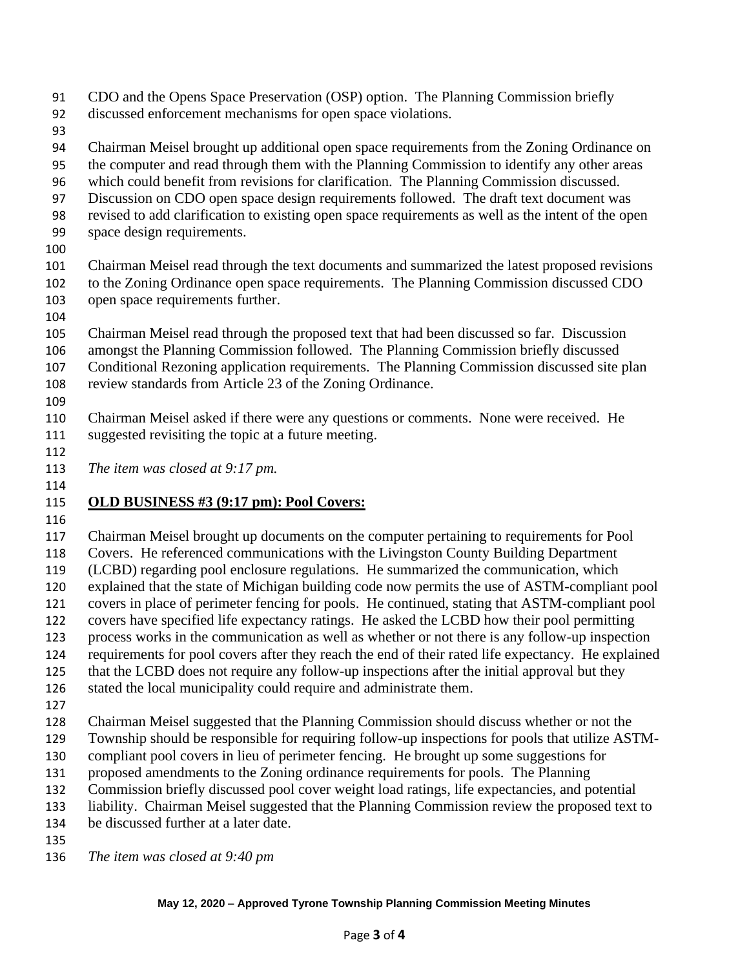CDO and the Opens Space Preservation (OSP) option. The Planning Commission briefly

discussed enforcement mechanisms for open space violations.

Chairman Meisel brought up additional open space requirements from the Zoning Ordinance on

the computer and read through them with the Planning Commission to identify any other areas

- which could benefit from revisions for clarification. The Planning Commission discussed.
- Discussion on CDO open space design requirements followed. The draft text document was
- revised to add clarification to existing open space requirements as well as the intent of the open
- space design requirements.
- 

 Chairman Meisel read through the text documents and summarized the latest proposed revisions to the Zoning Ordinance open space requirements. The Planning Commission discussed CDO open space requirements further.

 Chairman Meisel read through the proposed text that had been discussed so far. Discussion amongst the Planning Commission followed. The Planning Commission briefly discussed Conditional Rezoning application requirements. The Planning Commission discussed site plan review standards from Article 23 of the Zoning Ordinance.

 Chairman Meisel asked if there were any questions or comments. None were received. He suggested revisiting the topic at a future meeting.

*The item was closed at 9:17 pm.*

#### 

## **OLD BUSINESS #3 (9:17 pm): Pool Covers:**

Chairman Meisel brought up documents on the computer pertaining to requirements for Pool

Covers. He referenced communications with the Livingston County Building Department

(LCBD) regarding pool enclosure regulations. He summarized the communication, which

explained that the state of Michigan building code now permits the use of ASTM-compliant pool

 covers in place of perimeter fencing for pools. He continued, stating that ASTM-compliant pool covers have specified life expectancy ratings. He asked the LCBD how their pool permitting

process works in the communication as well as whether or not there is any follow-up inspection

requirements for pool covers after they reach the end of their rated life expectancy. He explained

that the LCBD does not require any follow-up inspections after the initial approval but they

stated the local municipality could require and administrate them.

Chairman Meisel suggested that the Planning Commission should discuss whether or not the

Township should be responsible for requiring follow-up inspections for pools that utilize ASTM-

compliant pool covers in lieu of perimeter fencing. He brought up some suggestions for

proposed amendments to the Zoning ordinance requirements for pools. The Planning

Commission briefly discussed pool cover weight load ratings, life expectancies, and potential

liability. Chairman Meisel suggested that the Planning Commission review the proposed text to

- be discussed further at a later date.
- 

*The item was closed at 9:40 pm*